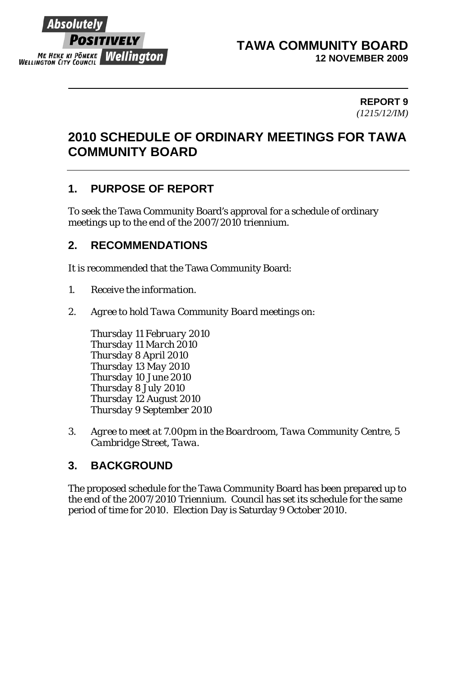

#### **TAWA COMMUNITY BOARD 12 NOVEMBER 2009**

#### **REPORT 9**  *(1215/12/IM)*

# **2010 SCHEDULE OF ORDINARY MEETINGS FOR TAWA COMMUNITY BOARD**

# **1. PURPOSE OF REPORT**

To seek the Tawa Community Board's approval for a schedule of ordinary meetings up to the end of the 2007/2010 triennium.

## **2. RECOMMENDATIONS**

It is recommended that the Tawa Community Board:

- *1. Receive the information.*
- *2. Agree to hold Tawa Community Board meetings on:*

*Thursday 11 February 2010 Thursday 11 March 2010 Thursday 8 April 2010 Thursday 13 May 2010 Thursday 10 June 2010 Thursday 8 July 2010 Thursday 12 August 2010 Thursday 9 September 2010* 

*3. Agree to meet at 7.00pm in the Boardroom, Tawa Community Centre, 5 Cambridge Street, Tawa.* 

# **3. BACKGROUND**

The proposed schedule for the Tawa Community Board has been prepared up to the end of the 2007/2010 Triennium. Council has set its schedule for the same period of time for 2010. Election Day is Saturday 9 October 2010.